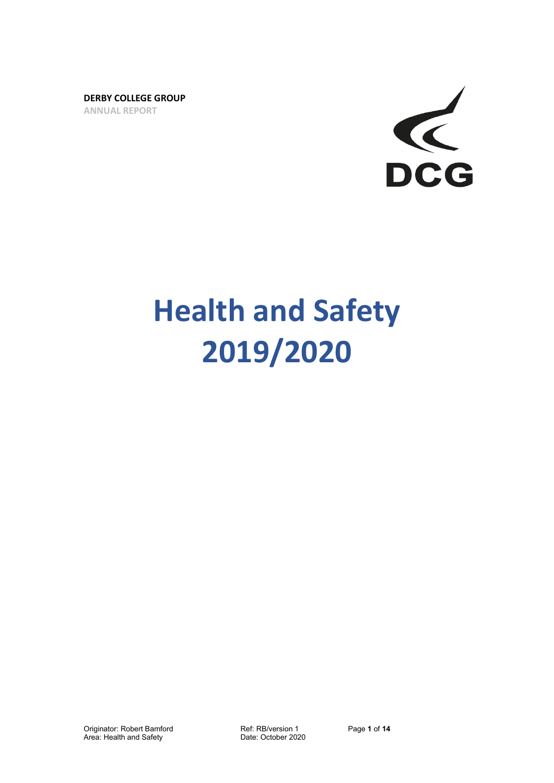**DERBY COLLEGE GROUP ANNUAL REPORT**



# **Health and Safety 2019/2020**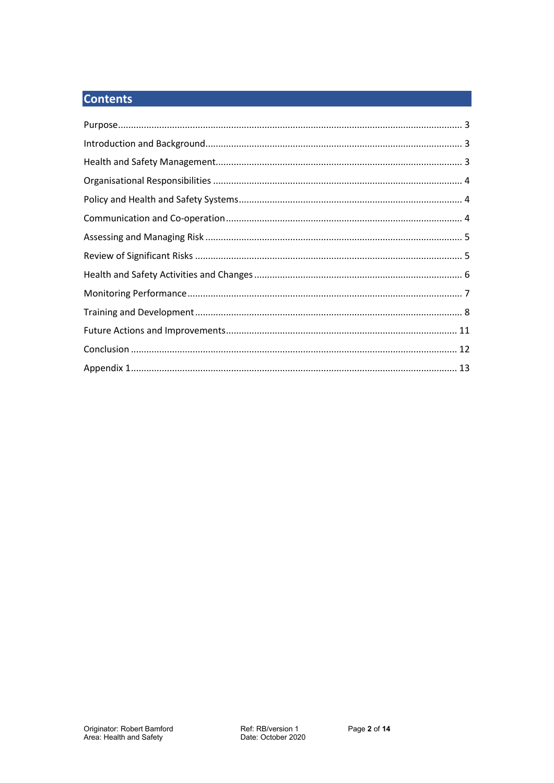# **Contents**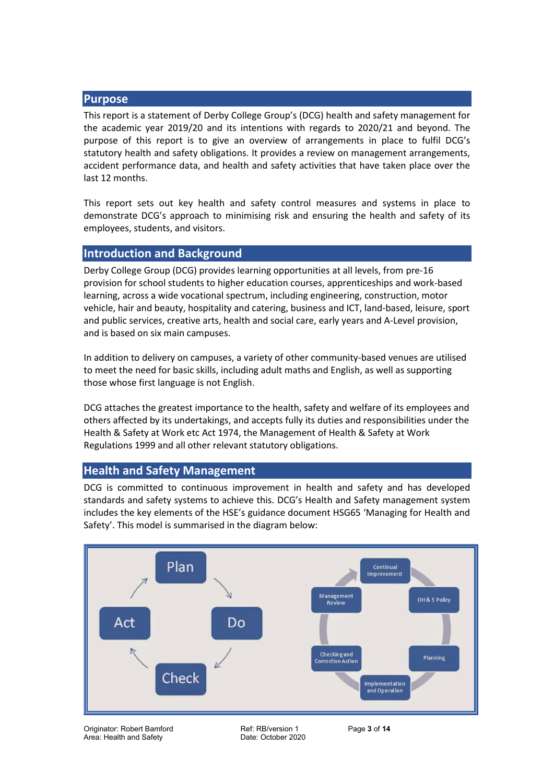# <span id="page-2-0"></span>**Purpose**

This report is a statement of Derby College Group's (DCG) health and safety management for the academic year 2019/20 and its intentions with regards to 2020/21 and beyond. The purpose of this report is to give an overview of arrangements in place to fulfil DCG's statutory health and safety obligations. It provides a review on management arrangements, accident performance data, and health and safety activities that have taken place over the last 12 months.

This report sets out key health and safety control measures and systems in place to demonstrate DCG's approach to minimising risk and ensuring the health and safety of its employees, students, and visitors.

# <span id="page-2-1"></span>**Introduction and Background**

Derby College Group (DCG) provides learning opportunities at all levels, from pre-16 provision for school students to higher education courses, apprenticeships and work-based learning, across a wide vocational spectrum, including engineering, construction, motor vehicle, hair and beauty, hospitality and catering, business and ICT, land-based, leisure, sport and public services, creative arts, health and social care, early years and A-Level provision, and is based on six main campuses.

In addition to delivery on campuses, a variety of other community-based venues are utilised to meet the need for basic skills, including adult maths and English, as well as supporting those whose first language is not English.

DCG attaches the greatest importance to the health, safety and welfare of its employees and others affected by its undertakings, and accepts fully its duties and responsibilities under the Health & Safety at Work etc Act 1974, the Management of Health & Safety at Work Regulations 1999 and all other relevant statutory obligations.

# <span id="page-2-2"></span>**Health and Safety Management**

DCG is committed to continuous improvement in health and safety and has developed standards and safety systems to achieve this. DCG's Health and Safety management system includes the key elements of the HSE's guidance document HSG65 'Managing for Health and Safety'. This model is summarised in the diagram below:



Originator: Robert Bamford Ref: RB/version 1 Page **3** of **14** Area: Health and Safety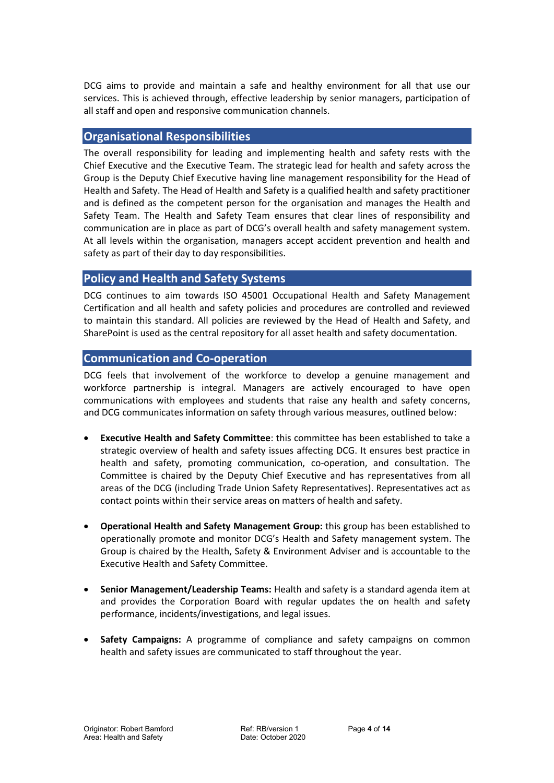DCG aims to provide and maintain a safe and healthy environment for all that use our services. This is achieved through, effective leadership by senior managers, participation of all staff and open and responsive communication channels.

# <span id="page-3-0"></span>**Organisational Responsibilities**

The overall responsibility for leading and implementing health and safety rests with the Chief Executive and the Executive Team. The strategic lead for health and safety across the Group is the Deputy Chief Executive having line management responsibility for the Head of Health and Safety. The Head of Health and Safety is a qualified health and safety practitioner and is defined as the competent person for the organisation and manages the Health and Safety Team. The Health and Safety Team ensures that clear lines of responsibility and communication are in place as part of DCG's overall health and safety management system. At all levels within the organisation, managers accept accident prevention and health and safety as part of their day to day responsibilities.

# <span id="page-3-1"></span>**Policy and Health and Safety Systems**

DCG continues to aim towards ISO 45001 Occupational Health and Safety Management Certification and all health and safety policies and procedures are controlled and reviewed to maintain this standard. All policies are reviewed by the Head of Health and Safety, and SharePoint is used as the central repository for all asset health and safety documentation.

# <span id="page-3-2"></span>**Communication and Co-operation**

DCG feels that involvement of the workforce to develop a genuine management and workforce partnership is integral. Managers are actively encouraged to have open communications with employees and students that raise any health and safety concerns, and DCG communicates information on safety through various measures, outlined below:

- **Executive Health and Safety Committee**: this committee has been established to take a strategic overview of health and safety issues affecting DCG. It ensures best practice in health and safety, promoting communication, co-operation, and consultation. The Committee is chaired by the Deputy Chief Executive and has representatives from all areas of the DCG (including Trade Union Safety Representatives). Representatives act as contact points within their service areas on matters of health and safety.
- **Operational Health and Safety Management Group:** this group has been established to operationally promote and monitor DCG's Health and Safety management system. The Group is chaired by the Health, Safety & Environment Adviser and is accountable to the Executive Health and Safety Committee.
- **Senior Management/Leadership Teams:** Health and safety is a standard agenda item at and provides the Corporation Board with regular updates the on health and safety performance, incidents/investigations, and legal issues.
- **Safety Campaigns:** A programme of compliance and safety campaigns on common health and safety issues are communicated to staff throughout the year.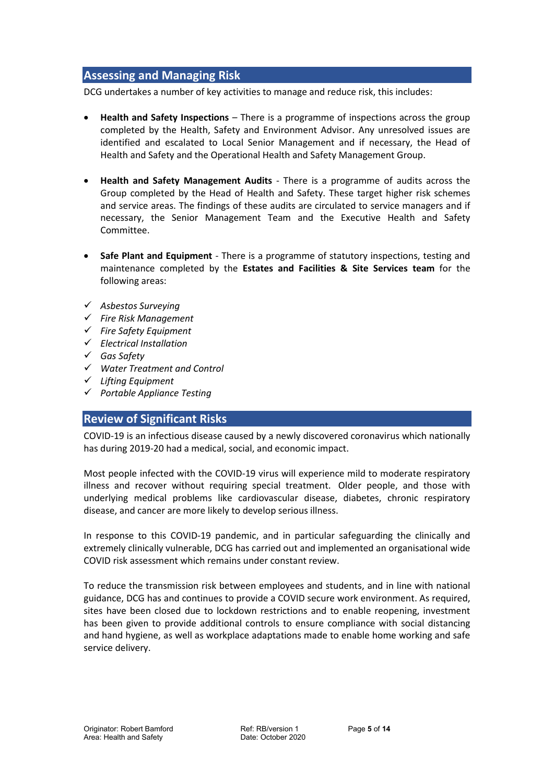# <span id="page-4-0"></span>**Assessing and Managing Risk**

DCG undertakes a number of key activities to manage and reduce risk, this includes:

- **Health and Safety Inspections** There is a programme of inspections across the group completed by the Health, Safety and Environment Advisor. Any unresolved issues are identified and escalated to Local Senior Management and if necessary, the Head of Health and Safety and the Operational Health and Safety Management Group.
- **Health and Safety Management Audits** There is a programme of audits across the Group completed by the Head of Health and Safety. These target higher risk schemes and service areas. The findings of these audits are circulated to service managers and if necessary, the Senior Management Team and the Executive Health and Safety Committee.
- **Safe Plant and Equipment** There is a programme of statutory inspections, testing and maintenance completed by the **Estates and Facilities & Site Services team** for the following areas:
- ✓ *Asbestos Surveying*
- ✓ *Fire Risk Management*
- ✓ *Fire Safety Equipment*
- ✓ *Electrical Installation*
- ✓ *Gas Safety*
- ✓ *Water Treatment and Control*
- ✓ *Lifting Equipment*
- <span id="page-4-1"></span>✓ *Portable Appliance Testing*

# **Review of Significant Risks**

COVID-19 is an infectious disease caused by a newly discovered coronavirus which nationally has during 2019-20 had a medical, social, and economic impact.

Most people infected with the COVID-19 virus will experience mild to moderate respiratory illness and recover without requiring special treatment. Older people, and those with underlying medical problems like cardiovascular disease, diabetes, chronic respiratory disease, and cancer are more likely to develop serious illness.

In response to this COVID-19 pandemic, and in particular safeguarding the clinically and extremely clinically vulnerable, DCG has carried out and implemented an organisational wide COVID risk assessment which remains under constant review.

To reduce the transmission risk between employees and students, and in line with national guidance, DCG has and continues to provide a COVID secure work environment. As required, sites have been closed due to lockdown restrictions and to enable reopening, investment has been given to provide additional controls to ensure compliance with social distancing and hand hygiene, as well as workplace adaptations made to enable home working and safe service delivery.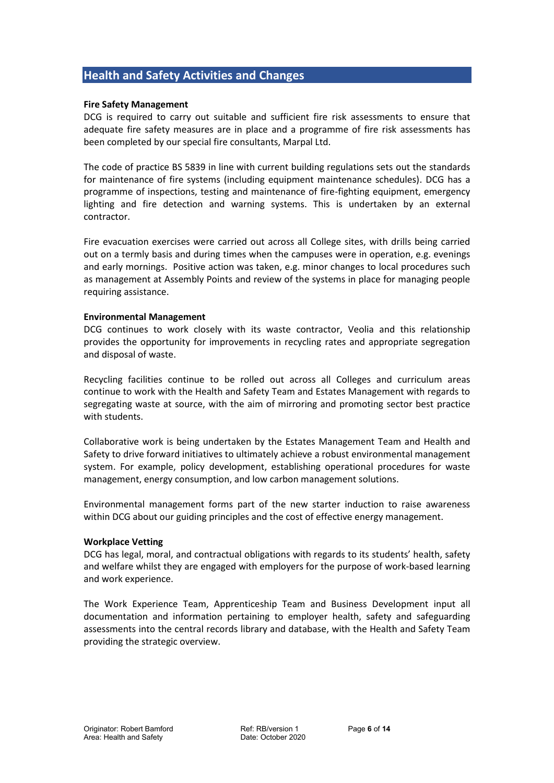# <span id="page-5-0"></span>**Health and Safety Activities and Changes**

#### **Fire Safety Management**

DCG is required to carry out suitable and sufficient fire risk assessments to ensure that adequate fire safety measures are in place and a programme of fire risk assessments has been completed by our special fire consultants, Marpal Ltd.

The code of practice BS 5839 in line with current building regulations sets out the standards for maintenance of fire systems (including equipment maintenance schedules). DCG has a programme of inspections, testing and maintenance of fire-fighting equipment, emergency lighting and fire detection and warning systems. This is undertaken by an external contractor.

Fire evacuation exercises were carried out across all College sites, with drills being carried out on a termly basis and during times when the campuses were in operation, e.g. evenings and early mornings. Positive action was taken, e.g. minor changes to local procedures such as management at Assembly Points and review of the systems in place for managing people requiring assistance.

#### **Environmental Management**

DCG continues to work closely with its waste contractor, Veolia and this relationship provides the opportunity for improvements in recycling rates and appropriate segregation and disposal of waste.

Recycling facilities continue to be rolled out across all Colleges and curriculum areas continue to work with the Health and Safety Team and Estates Management with regards to segregating waste at source, with the aim of mirroring and promoting sector best practice with students.

Collaborative work is being undertaken by the Estates Management Team and Health and Safety to drive forward initiatives to ultimately achieve a robust environmental management system. For example, policy development, establishing operational procedures for waste management, energy consumption, and low carbon management solutions.

Environmental management forms part of the new starter induction to raise awareness within DCG about our guiding principles and the cost of effective energy management.

#### **Workplace Vetting**

DCG has legal, moral, and contractual obligations with regards to its students' health, safety and welfare whilst they are engaged with employers for the purpose of work-based learning and work experience.

The Work Experience Team, Apprenticeship Team and Business Development input all documentation and information pertaining to employer health, safety and safeguarding assessments into the central records library and database, with the Health and Safety Team providing the strategic overview.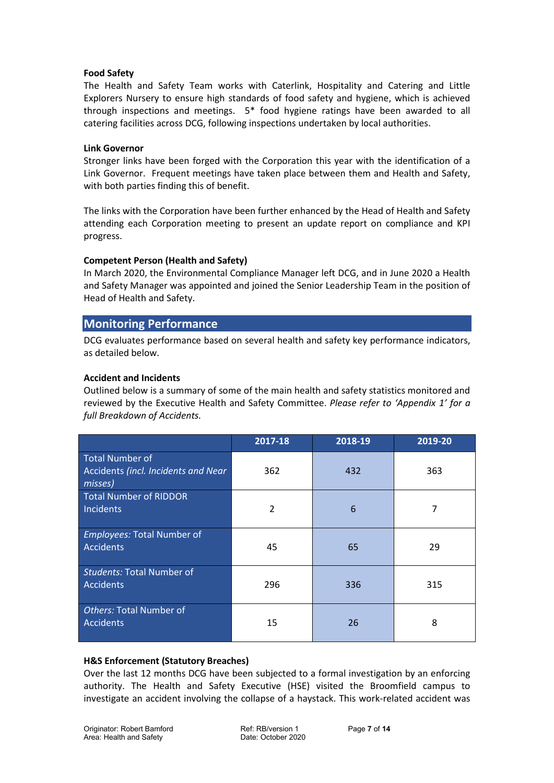#### **Food Safety**

The Health and Safety Team works with Caterlink, Hospitality and Catering and Little Explorers Nursery to ensure high standards of food safety and hygiene, which is achieved through inspections and meetings. 5\* food hygiene ratings have been awarded to all catering facilities across DCG, following inspections undertaken by local authorities.

#### **Link Governor**

Stronger links have been forged with the Corporation this year with the identification of a Link Governor. Frequent meetings have taken place between them and Health and Safety, with both parties finding this of benefit.

The links with the Corporation have been further enhanced by the Head of Health and Safety attending each Corporation meeting to present an update report on compliance and KPI progress.

#### **Competent Person (Health and Safety)**

In March 2020, the Environmental Compliance Manager left DCG, and in June 2020 a Health and Safety Manager was appointed and joined the Senior Leadership Team in the position of Head of Health and Safety.

# <span id="page-6-0"></span>**Monitoring Performance**

DCG evaluates performance based on several health and safety key performance indicators, as detailed below.

#### **Accident and Incidents**

Outlined below is a summary of some of the main health and safety statistics monitored and reviewed by the Executive Health and Safety Committee. *Please refer to 'Appendix 1' for a full Breakdown of Accidents.*

|                                                                          | 2017-18        | 2018-19 | 2019-20 |
|--------------------------------------------------------------------------|----------------|---------|---------|
| <b>Total Number of</b><br>Accidents (incl. Incidents and Near<br>misses) | 362            | 432     | 363     |
| <b>Total Number of RIDDOR</b><br><b>Incidents</b>                        | $\overline{2}$ | 6       | 7       |
| <b>Employees: Total Number of</b><br><b>Accidents</b>                    | 45             | 65      | 29      |
| <b>Students: Total Number of</b><br><b>Accidents</b>                     | 296            | 336     | 315     |
| Others: Total Number of<br><b>Accidents</b>                              | 15             | 26      | 8       |

#### **H&S Enforcement (Statutory Breaches)**

Over the last 12 months DCG have been subjected to a formal investigation by an enforcing authority. The Health and Safety Executive (HSE) visited the Broomfield campus to investigate an accident involving the collapse of a haystack. This work-related accident was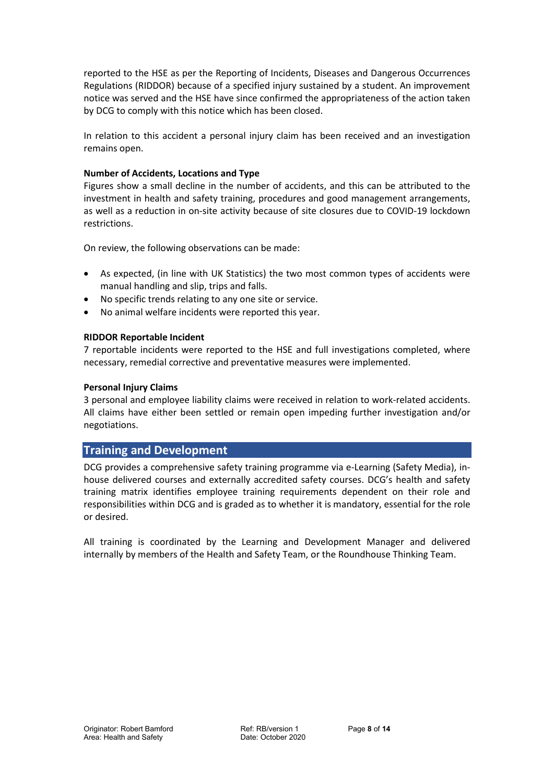reported to the HSE as per the Reporting of Incidents, Diseases and Dangerous Occurrences Regulations (RIDDOR) because of a specified injury sustained by a student. An improvement notice was served and the HSE have since confirmed the appropriateness of the action taken by DCG to comply with this notice which has been closed.

In relation to this accident a personal injury claim has been received and an investigation remains open.

#### **Number of Accidents, Locations and Type**

Figures show a small decline in the number of accidents, and this can be attributed to the investment in health and safety training, procedures and good management arrangements, as well as a reduction in on-site activity because of site closures due to COVID-19 lockdown restrictions.

On review, the following observations can be made:

- As expected, (in line with UK Statistics) the two most common types of accidents were manual handling and slip, trips and falls.
- No specific trends relating to any one site or service.
- No animal welfare incidents were reported this year.

#### **RIDDOR Reportable Incident**

7 reportable incidents were reported to the HSE and full investigations completed, where necessary, remedial corrective and preventative measures were implemented.

#### **Personal Injury Claims**

3 personal and employee liability claims were received in relation to work-related accidents. All claims have either been settled or remain open impeding further investigation and/or negotiations.

# <span id="page-7-0"></span>**Training and Development**

DCG provides a comprehensive safety training programme via e-Learning (Safety Media), inhouse delivered courses and externally accredited safety courses. DCG's health and safety training matrix identifies employee training requirements dependent on their role and responsibilities within DCG and is graded as to whether it is mandatory, essential for the role or desired.

All training is coordinated by the Learning and Development Manager and delivered internally by members of the Health and Safety Team, or the Roundhouse Thinking Team.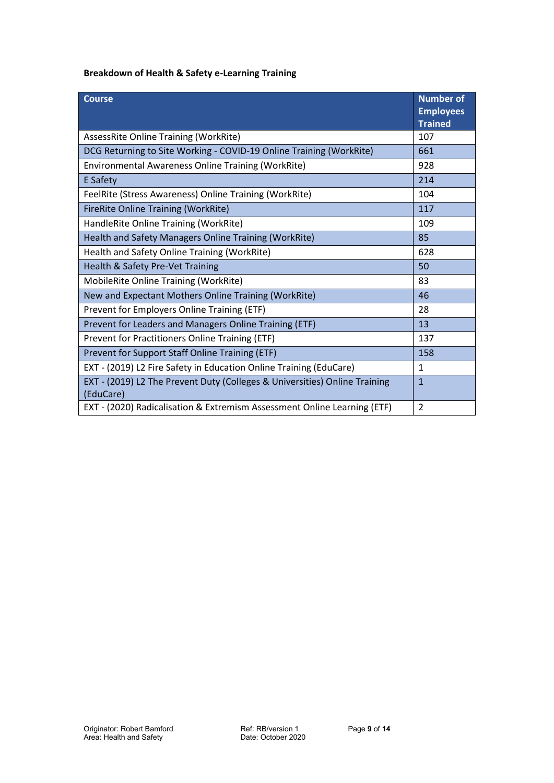# **Breakdown of Health & Safety e-Learning Training**

| <b>Course</b>                                                                           | <b>Number of</b><br><b>Employees</b><br><b>Trained</b> |
|-----------------------------------------------------------------------------------------|--------------------------------------------------------|
| AssessRite Online Training (WorkRite)                                                   | 107                                                    |
| DCG Returning to Site Working - COVID-19 Online Training (WorkRite)                     | 661                                                    |
| Environmental Awareness Online Training (WorkRite)                                      | 928                                                    |
| <b>E</b> Safety                                                                         | 214                                                    |
| FeelRite (Stress Awareness) Online Training (WorkRite)                                  | 104                                                    |
| <b>FireRite Online Training (WorkRite)</b>                                              | 117                                                    |
| HandleRite Online Training (WorkRite)                                                   | 109                                                    |
| Health and Safety Managers Online Training (WorkRite)                                   | 85                                                     |
| Health and Safety Online Training (WorkRite)                                            | 628                                                    |
| Health & Safety Pre-Vet Training                                                        | 50                                                     |
| MobileRite Online Training (WorkRite)                                                   | 83                                                     |
| New and Expectant Mothers Online Training (WorkRite)                                    | 46                                                     |
| Prevent for Employers Online Training (ETF)                                             | 28                                                     |
| Prevent for Leaders and Managers Online Training (ETF)                                  | 13                                                     |
| Prevent for Practitioners Online Training (ETF)                                         | 137                                                    |
| Prevent for Support Staff Online Training (ETF)                                         | 158                                                    |
| EXT - (2019) L2 Fire Safety in Education Online Training (EduCare)                      | $\mathbf{1}$                                           |
| EXT - (2019) L2 The Prevent Duty (Colleges & Universities) Online Training<br>(EduCare) | $\mathbf{1}$                                           |
| EXT - (2020) Radicalisation & Extremism Assessment Online Learning (ETF)                | $\overline{2}$                                         |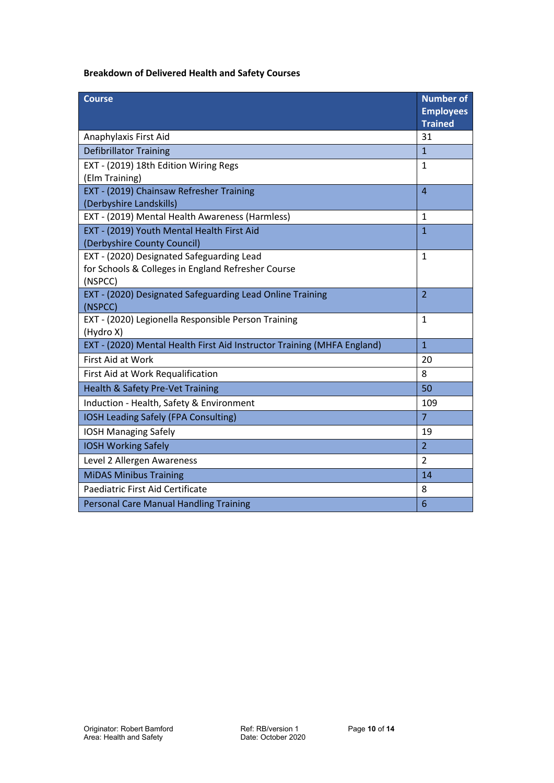# **Breakdown of Delivered Health and Safety Courses**

| <b>Course</b>                                                                                              | <b>Number of</b><br><b>Employees</b><br><b>Trained</b> |
|------------------------------------------------------------------------------------------------------------|--------------------------------------------------------|
| Anaphylaxis First Aid                                                                                      | 31                                                     |
| <b>Defibrillator Training</b>                                                                              | $\overline{1}$                                         |
| EXT - (2019) 18th Edition Wiring Regs<br>(Elm Training)                                                    | $\mathbf{1}$                                           |
| EXT - (2019) Chainsaw Refresher Training<br>(Derbyshire Landskills)                                        | $\overline{4}$                                         |
| EXT - (2019) Mental Health Awareness (Harmless)                                                            | $\mathbf{1}$                                           |
| EXT - (2019) Youth Mental Health First Aid<br>(Derbyshire County Council)                                  | $\overline{1}$                                         |
| EXT - (2020) Designated Safeguarding Lead<br>for Schools & Colleges in England Refresher Course<br>(NSPCC) | $\mathbf{1}$                                           |
| EXT - (2020) Designated Safeguarding Lead Online Training<br>(NSPCC)                                       | $\overline{2}$                                         |
| EXT - (2020) Legionella Responsible Person Training<br>(Hydro X)                                           | 1                                                      |
| EXT - (2020) Mental Health First Aid Instructor Training (MHFA England)                                    | $\mathbf{1}$                                           |
| First Aid at Work                                                                                          | 20                                                     |
| First Aid at Work Requalification                                                                          | 8                                                      |
| Health & Safety Pre-Vet Training                                                                           | 50                                                     |
| Induction - Health, Safety & Environment                                                                   | 109                                                    |
| IOSH Leading Safely (FPA Consulting)                                                                       | $\overline{7}$                                         |
| <b>IOSH Managing Safely</b>                                                                                | 19                                                     |
| <b>IOSH Working Safely</b>                                                                                 | $\overline{2}$                                         |
| Level 2 Allergen Awareness                                                                                 | $\overline{2}$                                         |
| <b>MiDAS Minibus Training</b>                                                                              | 14                                                     |
| Paediatric First Aid Certificate                                                                           | 8                                                      |
| <b>Personal Care Manual Handling Training</b>                                                              | 6                                                      |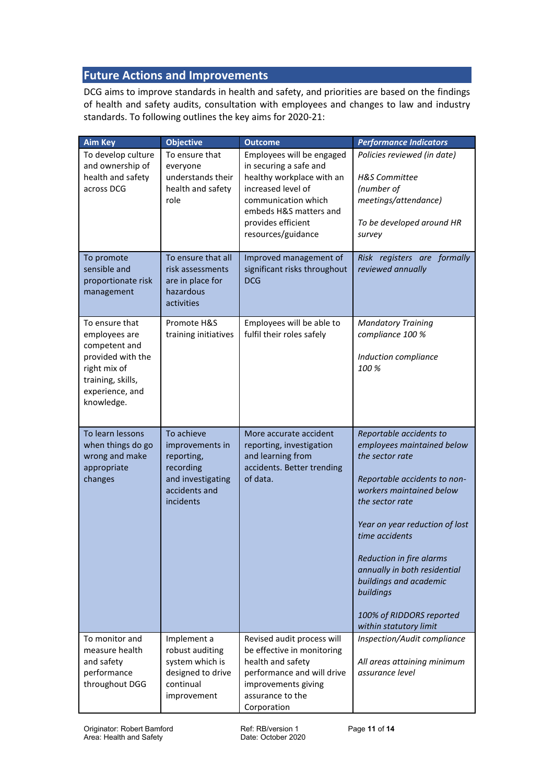# <span id="page-10-0"></span>**Future Actions and Improvements**

DCG aims to improve standards in health and safety, and priorities are based on the findings of health and safety audits, consultation with employees and changes to law and industry standards. To following outlines the key aims for 2020-21:

| <b>Aim Key</b>                                                                                                                              | <b>Objective</b>                                                                                            | <b>Outcome</b>                                                                                                                                                                                      | <b>Performance Indicators</b>                                                                                                                                                                                                                                                                                                                                        |
|---------------------------------------------------------------------------------------------------------------------------------------------|-------------------------------------------------------------------------------------------------------------|-----------------------------------------------------------------------------------------------------------------------------------------------------------------------------------------------------|----------------------------------------------------------------------------------------------------------------------------------------------------------------------------------------------------------------------------------------------------------------------------------------------------------------------------------------------------------------------|
| To develop culture<br>and ownership of<br>health and safety<br>across DCG                                                                   | To ensure that<br>everyone<br>understands their<br>health and safety<br>role                                | Employees will be engaged<br>in securing a safe and<br>healthy workplace with an<br>increased level of<br>communication which<br>embeds H&S matters and<br>provides efficient<br>resources/guidance | Policies reviewed (in date)<br><b>H&amp;S</b> Committee<br>(number of<br>meetings/attendance)<br>To be developed around HR<br>survey                                                                                                                                                                                                                                 |
| To promote<br>sensible and<br>proportionate risk<br>management                                                                              | To ensure that all<br>risk assessments<br>are in place for<br>hazardous<br>activities                       | Improved management of<br>significant risks throughout<br><b>DCG</b>                                                                                                                                | Risk registers are formally<br>reviewed annually                                                                                                                                                                                                                                                                                                                     |
| To ensure that<br>employees are<br>competent and<br>provided with the<br>right mix of<br>training, skills,<br>experience, and<br>knowledge. | Promote H&S<br>training initiatives                                                                         | Employees will be able to<br>fulfil their roles safely                                                                                                                                              | <b>Mandatory Training</b><br>compliance 100 %<br>Induction compliance<br>100 %                                                                                                                                                                                                                                                                                       |
| To learn lessons<br>when things do go<br>wrong and make<br>appropriate<br>changes                                                           | To achieve<br>improvements in<br>reporting,<br>recording<br>and investigating<br>accidents and<br>incidents | More accurate accident<br>reporting, investigation<br>and learning from<br>accidents. Better trending<br>of data.                                                                                   | Reportable accidents to<br>employees maintained below<br>the sector rate<br>Reportable accidents to non-<br>workers maintained below<br>the sector rate<br>Year on year reduction of lost<br>time accidents<br>Reduction in fire alarms<br>annually in both residential<br>buildings and academic<br>buildings<br>100% of RIDDORS reported<br>within statutory limit |
| To monitor and<br>measure health<br>and safety<br>performance<br>throughout DGG                                                             | Implement a<br>robust auditing<br>system which is<br>designed to drive<br>continual<br>improvement          | Revised audit process will<br>be effective in monitoring<br>health and safety<br>performance and will drive<br>improvements giving<br>assurance to the<br>Corporation                               | Inspection/Audit compliance<br>All areas attaining minimum<br>assurance level                                                                                                                                                                                                                                                                                        |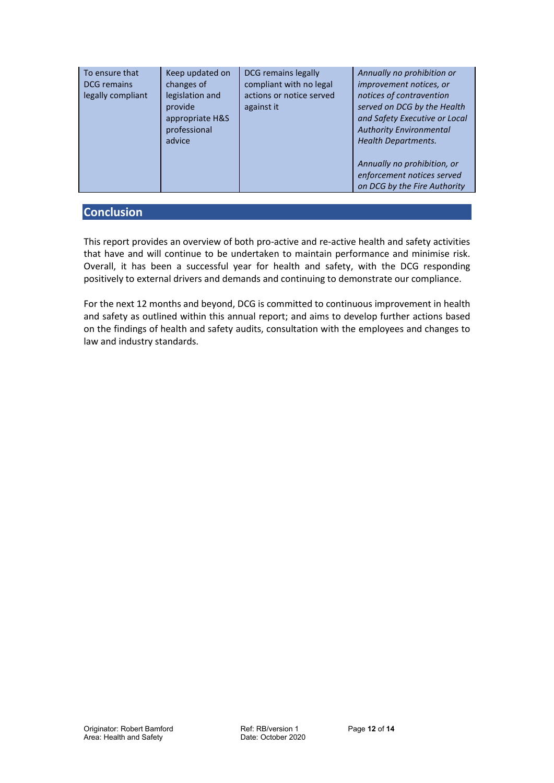| To ensure that<br><b>DCG</b> remains<br>legally compliant | Keep updated on<br>changes of<br>legislation and<br>provide<br>appropriate H&S<br>professional<br>advice | DCG remains legally<br>compliant with no legal<br>actions or notice served<br>against it | Annually no prohibition or<br>improvement notices, or<br>notices of contravention<br>served on DCG by the Health<br>and Safety Executive or Local<br><b>Authority Environmental</b><br><b>Health Departments.</b><br>Annually no prohibition, or<br>enforcement notices served |
|-----------------------------------------------------------|----------------------------------------------------------------------------------------------------------|------------------------------------------------------------------------------------------|--------------------------------------------------------------------------------------------------------------------------------------------------------------------------------------------------------------------------------------------------------------------------------|
|                                                           |                                                                                                          |                                                                                          | on DCG by the Fire Authority                                                                                                                                                                                                                                                   |

# <span id="page-11-0"></span>**Conclusion**

This report provides an overview of both pro-active and re-active health and safety activities that have and will continue to be undertaken to maintain performance and minimise risk. Overall, it has been a successful year for health and safety, with the DCG responding positively to external drivers and demands and continuing to demonstrate our compliance.

For the next 12 months and beyond, DCG is committed to continuous improvement in health and safety as outlined within this annual report; and aims to develop further actions based on the findings of health and safety audits, consultation with the employees and changes to law and industry standards.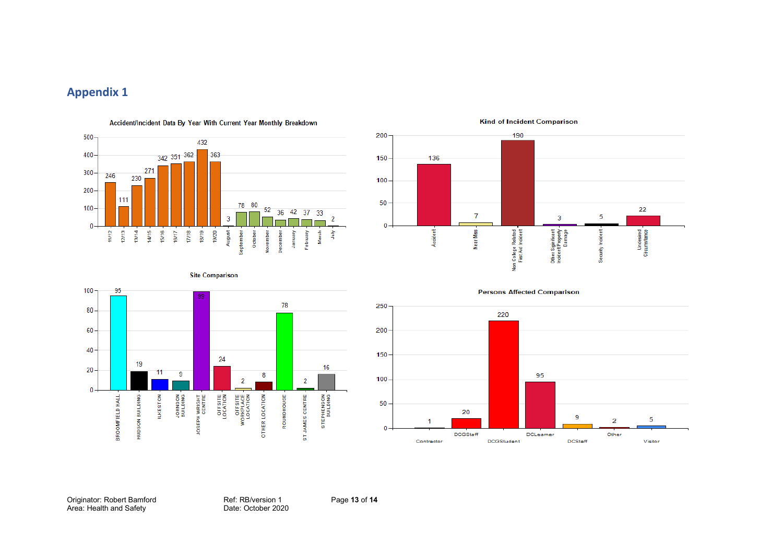# **Appendix 1**



Accident/Incident Data By Year With Current Year Monthly Breakdown



#### **Kind of Incident Comparison**

<span id="page-12-0"></span>

**Site Comparison** 

**Persons Affected Comparison** 



Originator: Robert Bamford Ref: RB/version 1 Page **13** of **14** Area: Health and Safety **Date: October 2020**